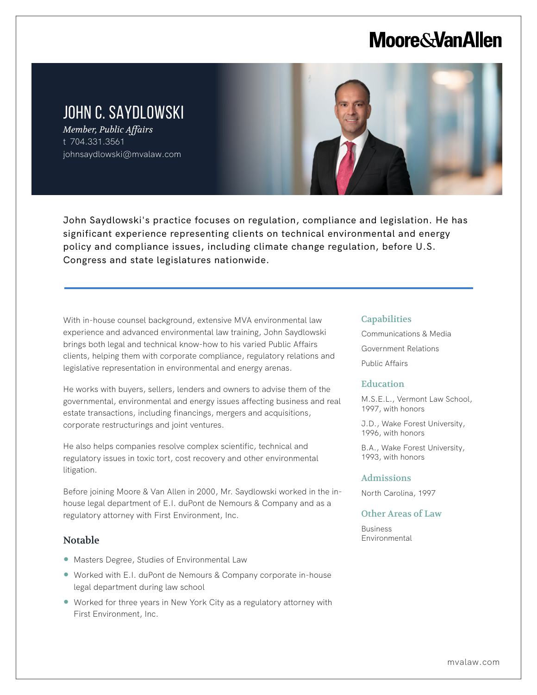## **Moore & Van Allen**

### JOHN C. SAYDLOWSKI

*Member, Public Affairs* t 704.331.3561 johnsaydlowski@mvalaw.com



John Saydlowski's practice focuses on regulation, compliance and legislation. He has significant experience representing clients on technical environmental and energy policy and compliance issues, including climate change regulation, before U.S. Congress and state legislatures nationwide.

With in-house counsel background, extensive MVA environmental law experience and advanced environmental law training, John Saydlowski brings both legal and technical know-how to his varied Public Affairs clients, helping them with corporate compliance, regulatory relations and legislative representation in environmental and energy arenas.

He works with buyers, sellers, lenders and owners to advise them of the governmental, environmental and energy issues affecting business and real estate transactions, including financings, mergers and acquisitions, corporate restructurings and joint ventures.

He also helps companies resolve complex scientific, technical and regulatory issues in toxic tort, cost recovery and other environmental litigation.

Before joining Moore & Van Allen in 2000, Mr. Saydlowski worked in the inhouse legal department of E.I. duPont de Nemours & Company and as a regulatory attorney with First Environment, Inc.

#### Notable

L

- Masters Degree, Studies of Environmental Law
- Worked with E.I. duPont de Nemours & Company corporate in-house legal department during law school
- Worked for three years in New York City as a regulatory attorney with First Environment, Inc.

#### **Capabilities**

Communications & Media Government Relations

Public Affairs

#### **Education**

M.S.E.L., Vermont Law School, 1997, with honors

J.D., Wake Forest University, 1996, with honors

B.A., Wake Forest University, 1993, with honors

#### Admissions

North Carolina, 1997

#### Other Areas of Law

Business Environmental